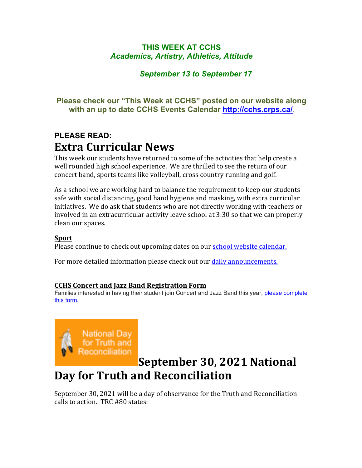### **THIS WEEK AT CCHS** *Academics, Artistry, Athletics, Attitude*

### *September 13 to September 17*

### **Please check our "This Week at CCHS" posted on our website along with an up to date CCHS Events Calendar<http://cchs.crps.ca/>**.

### **PLEASE READ: Extra Curricular News**

This week our students have returned to some of the activities that help create a well rounded high school experience. We are thrilled to see the return of our concert band, sports teams like volleyball, cross country running and golf.

As a school we are working hard to balance the requirement to keep our students safe with social distancing, good hand hygiene and masking, with extra curricular initiatives. We do ask that students who are not directly working with teachers or involved in an extracurricular activity leave school at 3:30 so that we can properly clean our spaces.

### **Sport**

Please continue to check out upcoming dates on our school website calendar.

For more detailed information please check out our daily announcements.

### **CCHS Concert and Jazz Band Registration Form**

Families interested in having their student join Concert and Jazz Band this year, [please complete](https://forms.gle/jrZ4NQTyoUivHPaVA) [this form.](https://forms.gle/jrZ4NQTyoUivHPaVA)



### **September 30, 2021 National Day for Truth and Reconciliation**

September 30, 2021 will be a day of observance for the Truth and Reconciliation calls to action. TRC #80 states: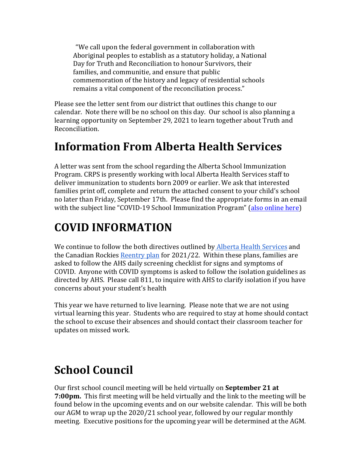"We call upon the federal government in collaboration with Aboriginal peoples to establish as a statutory holiday, a National Day for Truth and Reconciliation to honour Survivors, their families, and communitie, and ensure that public commemoration of the history and legacy of residential schools remains a vital component of the reconciliation process."

Please see the letter sent from our district that outlines this change to our calendar. Note there will be no school on this day. Our school is also planning a learning opportunity on September 29, 2021 to learn together about Truth and Reconciliation.

# **Information From Alberta Health Services**

A letter was sent from the school regarding the Alberta School Immunization Program. CRPS is presently working with local Alberta Health Services staff to deliver immunization to students born 2009 or earlier. We ask that interested families print off, complete and return the attached consent to your child's school no later than Friday, September 17th. Please find the appropriate forms in an email with the subject line "COVID-19 School Immunization Program" (also online here)

# **COVID INFORMATION**

We continue to follow the both directives outlined by Alberta Health Services and the Canadian Rockies Reentry plan for  $2021/22$ . Within these plans, families are asked to follow the AHS daily screening checklist for signs and symptoms of COVID. Anyone with COVID symptoms is asked to follow the isolation guidelines as directed by AHS. Please call 811, to inquire with AHS to clarify isolation if you have concerns about your student's health

This year we have returned to live learning. Please note that we are not using virtual learning this year. Students who are required to stay at home should contact the school to excuse their absences and should contact their classroom teacher for updates on missed work.

# **School Council**

Our first school council meeting will be held virtually on **September 21 at 7:00pm.** This first meeting will be held virtually and the link to the meeting will be found below in the upcoming events and on our website calendar. This will be both our AGM to wrap up the 2020/21 school year, followed by our regular monthly meeting. Executive positions for the upcoming year will be determined at the AGM.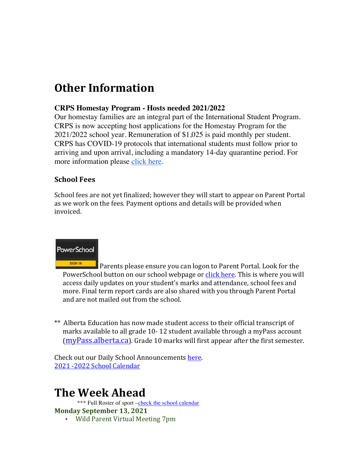# **Other Information**

### **CRPS Homestay Program - Hosts needed 2021/2022**

Our homestay families are an integral part of the International Student Program. CRPS is now accepting host applications for the Homestay Program for the 2021/2022 school year. Remuneration of \$1,025 is paid monthly per student. CRPS has COVID-19 protocols that international students must follow prior to arriving and upon arrival, including a mandatory 14-day quarantine period. For more information please [click here](https://crps.ca/Homestay Program.php).

### **School Fees**

School fees are not yet finalized; however they will start to appear on Parent Portal as we work on the fees. Payment options and details will be provided when invoiced.



SIGN IN Parents please ensure you can logon to Parent Portal. Look for the PowerSchool button on our school webpage or click here. This is where you will access daily updates on your student's marks and attendance, school fees and more. Final term report cards are also shared with you through Parent Portal and are not mailed out from the school.

\*\* Alberta Education has now made student access to their official transcript of marks available to all grade 10-12 student available through a myPass account  $(mvPass.alberta.ca)$ . Grade 10 marks will first appear after the first semester.

Check out our Daily School Announcements here. 2021 -2022 School Calendar

## **The Week Ahead**

\*\*\* Full Roster of sport [–check the school calendar](https://cchs.crps.ca/calendar) **Monday September 13, 2021**

• Wild Parent Virtual Meeting 7pm